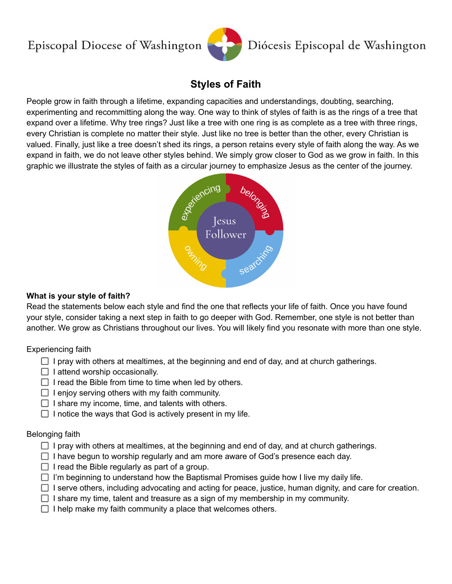# Episcopal Diocese of Washington



# **Styles of Faith**

People grow in faith through a lifetime, expanding capacities and understandings, doubting, searching, experimenting and recommitting along the way. One way to think of styles of faith is as the rings of a tree that expand over a lifetime. Why tree rings? Just like a tree with one ring is as complete as a tree with three rings, every Christian is complete no matter their style. Just like no tree is better than the other, every Christian is valued. Finally, just like a tree doesn't shed its rings, a person retains every style of faith along the way. As we expand in faith, we do not leave other styles behind. We simply grow closer to God as we grow in faith. In this graphic we illustrate the styles of faith as a circular journey to emphasize Jesus as the center of the journey.



## **What is your style of faith?**

Read the statements below each style and find the one that reflects your life of faith. Once you have found your style, consider taking a next step in faith to go deeper with God. Remember, one style is not better than another. We grow as Christians throughout our lives. You will likely find you resonate with more than one style.

## Experiencing faith

- $\Box$  I pray with others at mealtimes, at the beginning and end of day, and at church gatherings.
- $\Box$  I attend worship occasionally.
- $\Box$  I read the Bible from time to time when led by others.
- $\Box$  I enjoy serving others with my faith community.
- $\Box$  I share my income, time, and talents with others.
- $\Box$  I notice the ways that God is actively present in my life.

## Belonging faith

- $\Box$  I pray with others at mealtimes, at the beginning and end of day, and at church gatherings.
- $\Box$  I have begun to worship regularly and am more aware of God's presence each day.
- $\Box$  I read the Bible regularly as part of a group.
- $\Box$  I'm beginning to understand how the Baptismal Promises guide how I live my daily life.
- $\Box$  I serve others, including advocating and acting for peace, justice, human dignity, and care for creation.
- $\Box$  I share my time, talent and treasure as a sign of my membership in my community.
- $\Box$  I help make my faith community a place that welcomes others.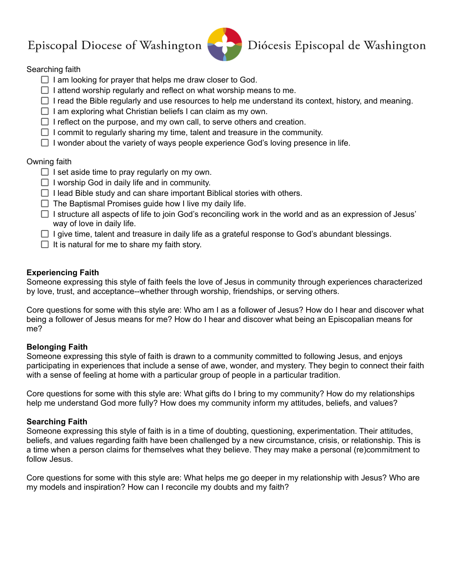# Episcopal Diocese of Washington



Diócesis Episcopal de Washington

# Searching faith

- $\Box$  I am looking for prayer that helps me draw closer to God.
- $\Box$  I attend worship regularly and reflect on what worship means to me.
- $\Box$  I read the Bible regularly and use resources to help me understand its context, history, and meaning.
- $\Box$  I am exploring what Christian beliefs I can claim as my own.
- $\Box$  I reflect on the purpose, and my own call, to serve others and creation.
- $\Box$  I commit to regularly sharing my time, talent and treasure in the community.
- $\Box$  I wonder about the variety of ways people experience God's loving presence in life.

# Owning faith

- $\Box$  I set aside time to pray regularly on my own.
- $\Box$  I worship God in daily life and in community.
- $\Box$  I lead Bible study and can share important Biblical stories with others.
- $\Box$  The Baptismal Promises quide how I live my daily life.
- $\Box$  I structure all aspects of life to join God's reconciling work in the world and as an expression of Jesus' way of love in daily life.
- $\Box$  I give time, talent and treasure in daily life as a grateful response to God's abundant blessings.
- $\Box$  It is natural for me to share my faith story.

# **Experiencing Faith**

Someone expressing this style of faith feels the love of Jesus in community through experiences characterized by love, trust, and acceptance--whether through worship, friendships, or serving others.

Core questions for some with this style are: Who am I as a follower of Jesus? How do I hear and discover what being a follower of Jesus means for me? How do I hear and discover what being an Episcopalian means for me?

## **Belonging Faith**

Someone expressing this style of faith is drawn to a community committed to following Jesus, and enjoys participating in experiences that include a sense of awe, wonder, and mystery. They begin to connect their faith with a sense of feeling at home with a particular group of people in a particular tradition.

Core questions for some with this style are: What gifts do I bring to my community? How do my relationships help me understand God more fully? How does my community inform my attitudes, beliefs, and values?

## **Searching Faith**

Someone expressing this style of faith is in a time of doubting, questioning, experimentation. Their attitudes, beliefs, and values regarding faith have been challenged by a new circumstance, crisis, or relationship. This is a time when a person claims for themselves what they believe. They may make a personal (re)commitment to follow Jesus.

Core questions for some with this style are: What helps me go deeper in my relationship with Jesus? Who are my models and inspiration? How can I reconcile my doubts and my faith?